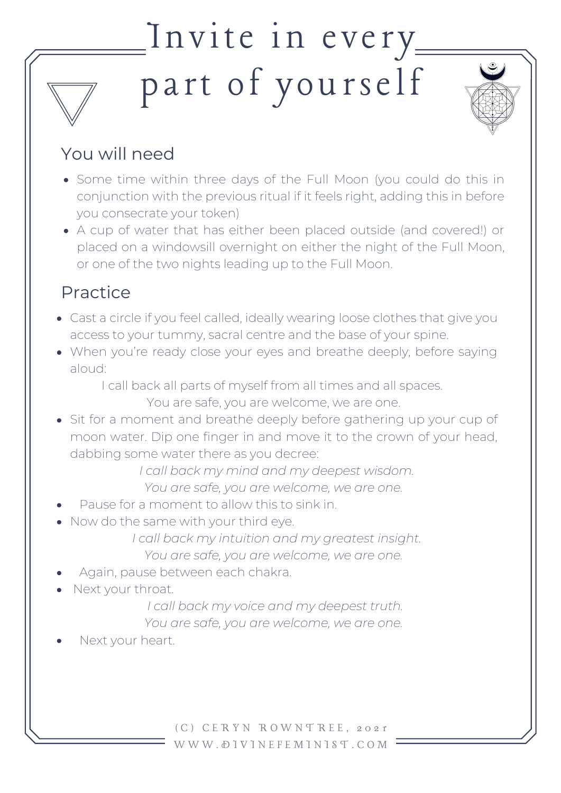## $\frac{1}{2}$ Invite in every part of yourself



- Some time within three days of the Full Moon (you could do this in conjunction with the previous ritual if it feels right, adding this in before you consecrate your token)
- A cup of water that has either been placed outside (and covered!) or placed on a windowsill overnight on either the night of the Full Moon, or one of the two nights leading up to the Full Moon.

## Practice

- Cast a circle if you feel called, ideally wearing loose clothes that give you access to your tummy, sacral centre and the base of your spine.
- When you're ready close your eyes and breathe deeply, before saying aloud:

I call back all parts of myself from all times and all spaces.

You are safe, you are welcome, we are one.

• Sit for a moment and breathe deeply before gathering up your cup of moon water. Dip one finger in and move it to the crown of your head, dabbing some water there as you decree:

*I call back my mind and my deepest wisdom.*

*You are safe, you are welcome, we are one.*

- Pause for a moment to allow this to sink in.
- Now do the same with your third eye.

*I call back my intuition and my greatest insight. You are safe, you are welcome, we are one.*

- Again, pause between each chakra.
- Next your throat.

*I call back my voice and my deepest truth.*

*You are safe, you are welcome, we are one.*

Next your heart.

( C ) C E R Y N R O W N T R E E , 2 0 2 1 W W W . D I V I N E F E M I N I S T . C O M